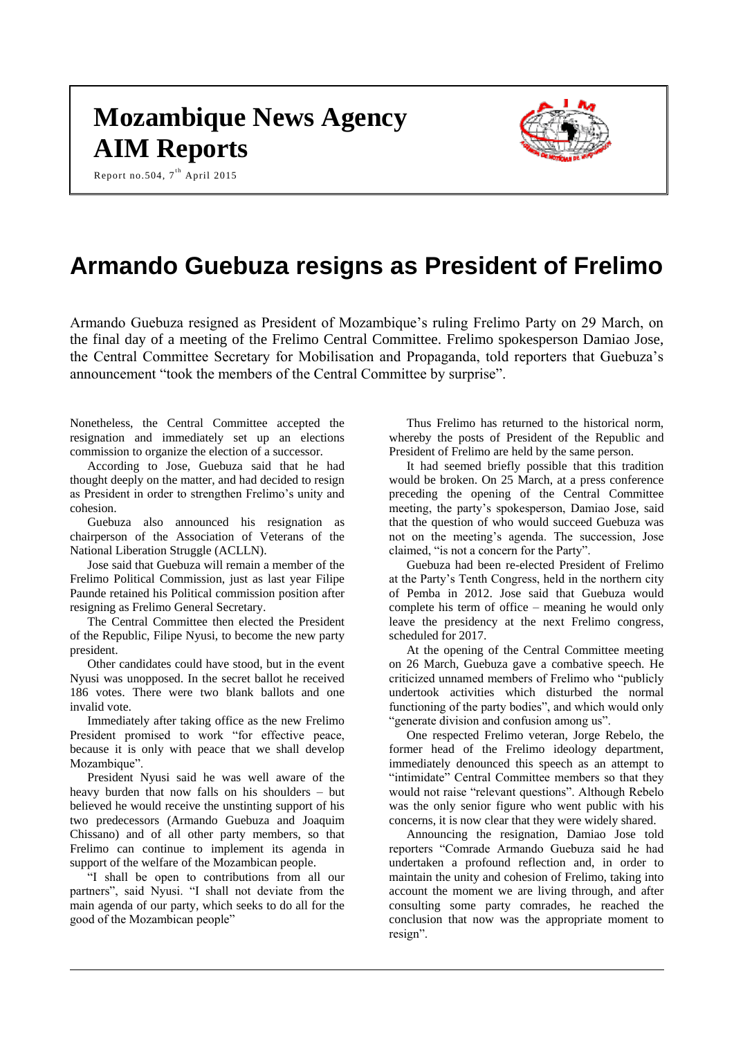# **Mozambique News Agency AIM Reports**





# **Armando Guebuza resigns as President of Frelimo**

Armando Guebuza resigned as President of Mozambique's ruling Frelimo Party on 29 March, on the final day of a meeting of the Frelimo Central Committee. Frelimo spokesperson Damiao Jose, the Central Committee Secretary for Mobilisation and Propaganda, told reporters that Guebuza's announcement "took the members of the Central Committee by surprise".

Nonetheless, the Central Committee accepted the resignation and immediately set up an elections commission to organize the election of a successor.

According to Jose, Guebuza said that he had thought deeply on the matter, and had decided to resign as President in order to strengthen Frelimo's unity and cohesion.

Guebuza also announced his resignation as chairperson of the Association of Veterans of the National Liberation Struggle (ACLLN).

Jose said that Guebuza will remain a member of the Frelimo Political Commission, just as last year Filipe Paunde retained his Political commission position after resigning as Frelimo General Secretary.

The Central Committee then elected the President of the Republic, Filipe Nyusi, to become the new party president.

Other candidates could have stood, but in the event Nyusi was unopposed. In the secret ballot he received 186 votes. There were two blank ballots and one invalid vote.

Immediately after taking office as the new Frelimo President promised to work "for effective peace, because it is only with peace that we shall develop Mozambique".

President Nyusi said he was well aware of the heavy burden that now falls on his shoulders – but believed he would receive the unstinting support of his two predecessors (Armando Guebuza and Joaquim Chissano) and of all other party members, so that Frelimo can continue to implement its agenda in support of the welfare of the Mozambican people.

"I shall be open to contributions from all our partners", said Nyusi. "I shall not deviate from the main agenda of our party, which seeks to do all for the good of the Mozambican people"

Thus Frelimo has returned to the historical norm, whereby the posts of President of the Republic and President of Frelimo are held by the same person.

It had seemed briefly possible that this tradition would be broken. On 25 March, at a press conference preceding the opening of the Central Committee meeting, the party's spokesperson, Damiao Jose, said that the question of who would succeed Guebuza was not on the meeting's agenda. The succession, Jose claimed, "is not a concern for the Party".

Guebuza had been re-elected President of Frelimo at the Party's Tenth Congress, held in the northern city of Pemba in 2012. Jose said that Guebuza would complete his term of office – meaning he would only leave the presidency at the next Frelimo congress, scheduled for 2017.

At the opening of the Central Committee meeting on 26 March, Guebuza gave a combative speech. He criticized unnamed members of Frelimo who "publicly undertook activities which disturbed the normal functioning of the party bodies", and which would only "generate division and confusion among us".

One respected Frelimo veteran, Jorge Rebelo, the former head of the Frelimo ideology department, immediately denounced this speech as an attempt to "intimidate" Central Committee members so that they would not raise "relevant questions". Although Rebelo was the only senior figure who went public with his concerns, it is now clear that they were widely shared.

Announcing the resignation, Damiao Jose told reporters "Comrade Armando Guebuza said he had undertaken a profound reflection and, in order to maintain the unity and cohesion of Frelimo, taking into account the moment we are living through, and after consulting some party comrades, he reached the conclusion that now was the appropriate moment to resign".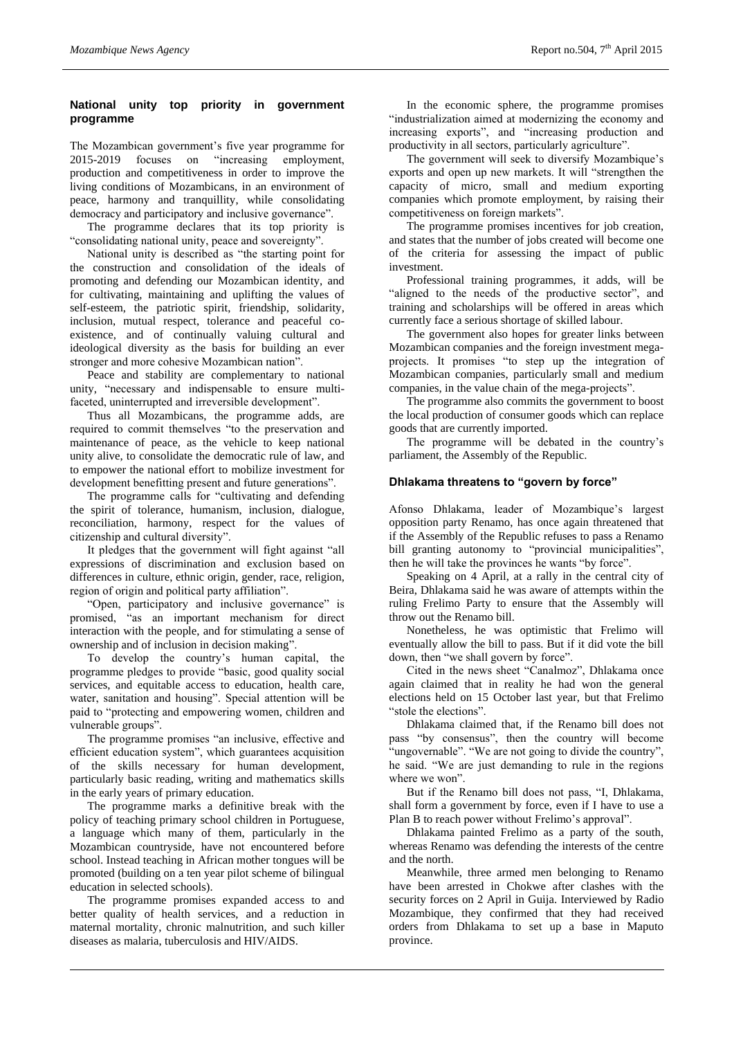# **National unity top priority in government programme**

The Mozambican government's five year programme for 2015-2019 focuses on "increasing employment, production and competitiveness in order to improve the living conditions of Mozambicans, in an environment of peace, harmony and tranquillity, while consolidating democracy and participatory and inclusive governance".

The programme declares that its top priority is "consolidating national unity, peace and sovereignty".

National unity is described as "the starting point for the construction and consolidation of the ideals of promoting and defending our Mozambican identity, and for cultivating, maintaining and uplifting the values of self-esteem, the patriotic spirit, friendship, solidarity, inclusion, mutual respect, tolerance and peaceful coexistence, and of continually valuing cultural and ideological diversity as the basis for building an ever stronger and more cohesive Mozambican nation".

Peace and stability are complementary to national unity, "necessary and indispensable to ensure multifaceted, uninterrupted and irreversible development".

Thus all Mozambicans, the programme adds, are required to commit themselves "to the preservation and maintenance of peace, as the vehicle to keep national unity alive, to consolidate the democratic rule of law, and to empower the national effort to mobilize investment for development benefitting present and future generations".

The programme calls for "cultivating and defending the spirit of tolerance, humanism, inclusion, dialogue, reconciliation, harmony, respect for the values of citizenship and cultural diversity".

It pledges that the government will fight against "all expressions of discrimination and exclusion based on differences in culture, ethnic origin, gender, race, religion, region of origin and political party affiliation".

"Open, participatory and inclusive governance" is promised, "as an important mechanism for direct interaction with the people, and for stimulating a sense of ownership and of inclusion in decision making".

To develop the country's human capital, the programme pledges to provide "basic, good quality social services, and equitable access to education, health care, water, sanitation and housing". Special attention will be paid to "protecting and empowering women, children and vulnerable groups".

The programme promises "an inclusive, effective and efficient education system", which guarantees acquisition of the skills necessary for human development, particularly basic reading, writing and mathematics skills in the early years of primary education.

The programme marks a definitive break with the policy of teaching primary school children in Portuguese, a language which many of them, particularly in the Mozambican countryside, have not encountered before school. Instead teaching in African mother tongues will be promoted (building on a ten year pilot scheme of bilingual education in selected schools).

The programme promises expanded access to and better quality of health services, and a reduction in maternal mortality, chronic malnutrition, and such killer diseases as malaria, tuberculosis and HIV/AIDS.

In the economic sphere, the programme promises "industrialization aimed at modernizing the economy and increasing exports", and "increasing production and productivity in all sectors, particularly agriculture".

The government will seek to diversify Mozambique's exports and open up new markets. It will "strengthen the capacity of micro, small and medium exporting companies which promote employment, by raising their competitiveness on foreign markets".

The programme promises incentives for job creation, and states that the number of jobs created will become one of the criteria for assessing the impact of public investment.

Professional training programmes, it adds, will be "aligned to the needs of the productive sector", and training and scholarships will be offered in areas which currently face a serious shortage of skilled labour.

The government also hopes for greater links between Mozambican companies and the foreign investment megaprojects. It promises "to step up the integration of Mozambican companies, particularly small and medium companies, in the value chain of the mega-projects".

The programme also commits the government to boost the local production of consumer goods which can replace goods that are currently imported.

The programme will be debated in the country's parliament, the Assembly of the Republic.

## **Dhlakama threatens to "govern by force"**

Afonso Dhlakama, leader of Mozambique's largest opposition party Renamo, has once again threatened that if the Assembly of the Republic refuses to pass a Renamo bill granting autonomy to "provincial municipalities", then he will take the provinces he wants "by force".

Speaking on 4 April, at a rally in the central city of Beira, Dhlakama said he was aware of attempts within the ruling Frelimo Party to ensure that the Assembly will throw out the Renamo bill.

Nonetheless, he was optimistic that Frelimo will eventually allow the bill to pass. But if it did vote the bill down, then "we shall govern by force".

Cited in the news sheet "Canalmoz", Dhlakama once again claimed that in reality he had won the general elections held on 15 October last year, but that Frelimo "stole the elections".

Dhlakama claimed that, if the Renamo bill does not pass "by consensus", then the country will become "ungovernable". "We are not going to divide the country", he said. "We are just demanding to rule in the regions where we won".

But if the Renamo bill does not pass, "I, Dhlakama, shall form a government by force, even if I have to use a Plan B to reach power without Frelimo's approval".

Dhlakama painted Frelimo as a party of the south, whereas Renamo was defending the interests of the centre and the north.

Meanwhile, three armed men belonging to Renamo have been arrested in Chokwe after clashes with the security forces on 2 April in Guija. Interviewed by Radio Mozambique, they confirmed that they had received orders from Dhlakama to set up a base in Maputo province.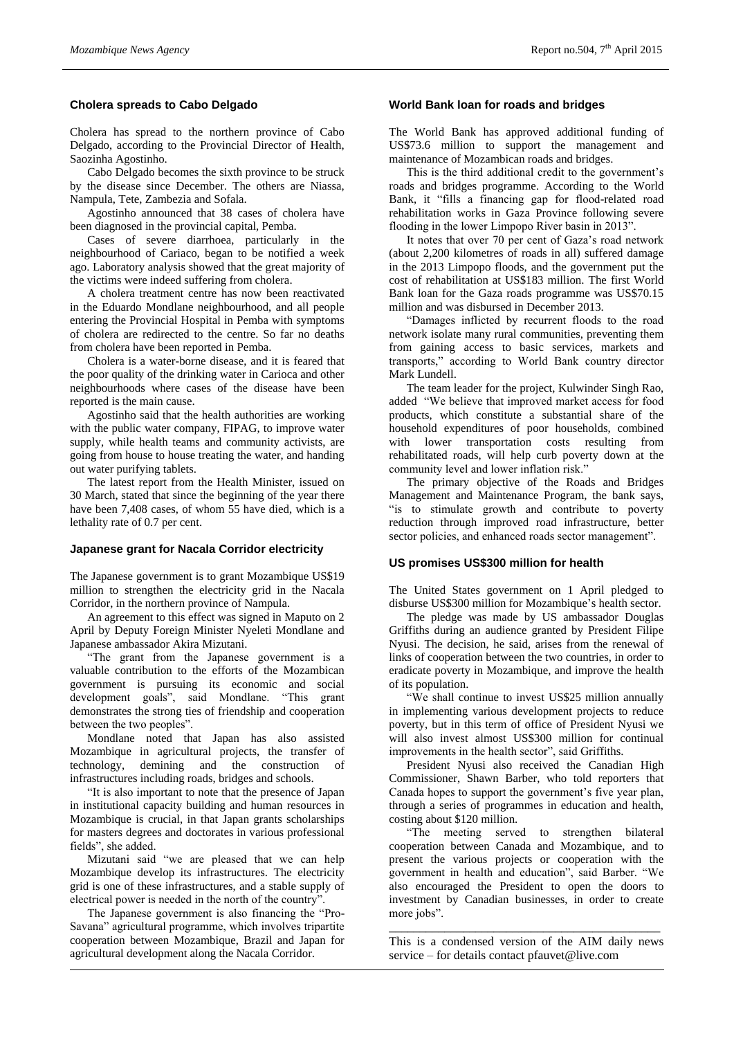## **Cholera spreads to Cabo Delgado**

Cholera has spread to the northern province of Cabo Delgado, according to the Provincial Director of Health, Saozinha Agostinho.

Cabo Delgado becomes the sixth province to be struck by the disease since December. The others are Niassa, Nampula, Tete, Zambezia and Sofala.

Agostinho announced that 38 cases of cholera have been diagnosed in the provincial capital, Pemba.

Cases of severe diarrhoea, particularly in the neighbourhood of Cariaco, began to be notified a week ago. Laboratory analysis showed that the great majority of the victims were indeed suffering from cholera.

A cholera treatment centre has now been reactivated in the Eduardo Mondlane neighbourhood, and all people entering the Provincial Hospital in Pemba with symptoms of cholera are redirected to the centre. So far no deaths from cholera have been reported in Pemba.

Cholera is a water-borne disease, and it is feared that the poor quality of the drinking water in Carioca and other neighbourhoods where cases of the disease have been reported is the main cause.

Agostinho said that the health authorities are working with the public water company, FIPAG, to improve water supply, while health teams and community activists, are going from house to house treating the water, and handing out water purifying tablets.

The latest report from the Health Minister, issued on 30 March, stated that since the beginning of the year there have been 7,408 cases, of whom 55 have died, which is a lethality rate of 0.7 per cent.

#### **Japanese grant for Nacala Corridor electricity**

The Japanese government is to grant Mozambique US\$19 million to strengthen the electricity grid in the Nacala Corridor, in the northern province of Nampula.

An agreement to this effect was signed in Maputo on 2 April by Deputy Foreign Minister Nyeleti Mondlane and Japanese ambassador Akira Mizutani.

"The grant from the Japanese government is a valuable contribution to the efforts of the Mozambican government is pursuing its economic and social development goals", said Mondlane. "This grant demonstrates the strong ties of friendship and cooperation between the two peoples".

Mondlane noted that Japan has also assisted Mozambique in agricultural projects, the transfer of technology, demining and the construction of infrastructures including roads, bridges and schools.

"It is also important to note that the presence of Japan in institutional capacity building and human resources in Mozambique is crucial, in that Japan grants scholarships for masters degrees and doctorates in various professional fields", she added.

Mizutani said "we are pleased that we can help Mozambique develop its infrastructures. The electricity grid is one of these infrastructures, and a stable supply of electrical power is needed in the north of the country".

The Japanese government is also financing the "Pro-Savana" agricultural programme, which involves tripartite cooperation between Mozambique, Brazil and Japan for agricultural development along the Nacala Corridor.

#### **World Bank loan for roads and bridges**

The World Bank has approved additional funding of US\$73.6 million to support the management and maintenance of Mozambican roads and bridges.

This is the third additional credit to the government's roads and bridges programme. According to the World Bank, it "fills a financing gap for flood-related road rehabilitation works in Gaza Province following severe flooding in the lower Limpopo River basin in 2013"

It notes that over 70 per cent of Gaza's road network (about 2,200 kilometres of roads in all) suffered damage in the 2013 Limpopo floods, and the government put the cost of rehabilitation at US\$183 million. The first World Bank loan for the Gaza roads programme was US\$70.15 million and was disbursed in December 2013.

"Damages inflicted by recurrent floods to the road network isolate many rural communities, preventing them from gaining access to basic services, markets and transports," according to World Bank country director Mark Lundell.

The team leader for the project, Kulwinder Singh Rao, added "We believe that improved market access for food products, which constitute a substantial share of the household expenditures of poor households, combined with lower transportation costs resulting from rehabilitated roads, will help curb poverty down at the community level and lower inflation risk."

The primary objective of the Roads and Bridges Management and Maintenance Program, the bank says, "is to stimulate growth and contribute to poverty reduction through improved road infrastructure, better sector policies, and enhanced roads sector management".

#### **US promises US\$300 million for health**

The United States government on 1 April pledged to disburse US\$300 million for Mozambique's health sector.

The pledge was made by US ambassador Douglas Griffiths during an audience granted by President Filipe Nyusi. The decision, he said, arises from the renewal of links of cooperation between the two countries, in order to eradicate poverty in Mozambique, and improve the health of its population.

"We shall continue to invest US\$25 million annually in implementing various development projects to reduce poverty, but in this term of office of President Nyusi we will also invest almost US\$300 million for continual improvements in the health sector", said Griffiths.

President Nyusi also received the Canadian High Commissioner, Shawn Barber, who told reporters that Canada hopes to support the government's five year plan, through a series of programmes in education and health, costing about \$120 million.

"The meeting served to strengthen bilateral cooperation between Canada and Mozambique, and to present the various projects or cooperation with the government in health and education", said Barber. "We also encouraged the President to open the doors to investment by Canadian businesses, in order to create more jobs".

\_\_\_\_\_\_\_\_\_\_\_\_\_\_\_\_\_\_\_\_\_\_\_\_\_\_\_\_\_\_\_\_\_\_\_\_\_\_\_\_\_\_\_\_ This is a condensed version of the AIM daily news service – for details contact pfauvet@live.com